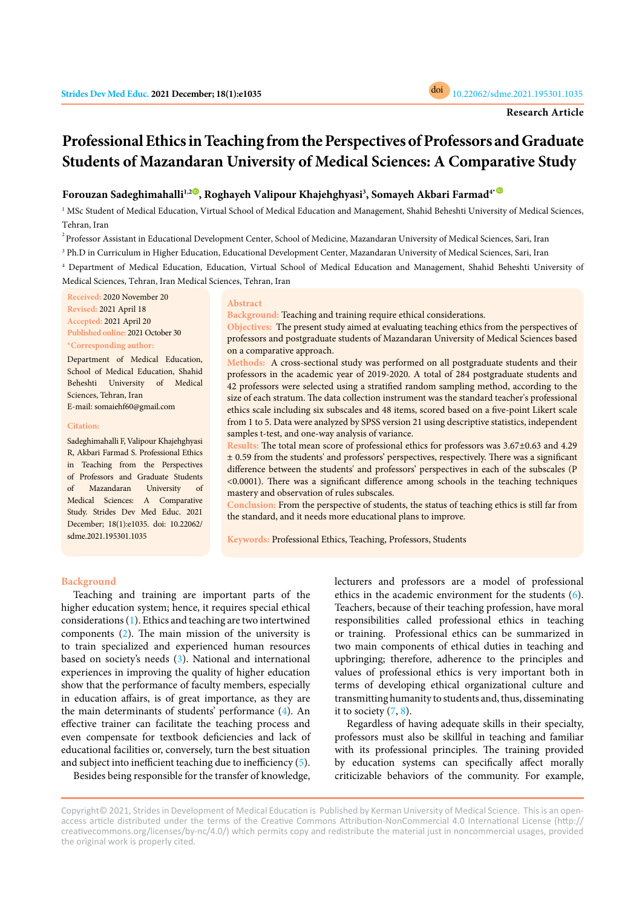

# **Professional Ethics in Teaching from the Perspectives of Professors and Graduate Students of Mazandaran University of Medical Sciences: A Comparative Study**

# **Forouzan Sadeghimahalli<sup>1</sup>,[2](https://orcid.org/0000-0002-6338-1424) , Roghayeh Valipour Khajehghyasi<sup>3</sup> , Somayeh Akbari Farmad<sup>4</sup>[\\*](https://orcid.org/0000-0002-6372-989X)**

<sup>1</sup> MSc Student of Medical Education, Virtual School of Medical Education and Management, Shahid Beheshti University of Medical Sciences, Tehran, Iran

 $^{2}$ Professor Assistant in Educational Development Center, School of Medicine, Mazandaran University of Medical Sciences, Sari, Iran

<sup>3</sup> Ph.D in Curriculum in Higher Education, Educational Development Center, Mazandaran University of Medical Sciences, Sari, Iran

<sup>4</sup> Department of Medical Education, Education, Virtual School of Medical Education and Management, Shahid Beheshti University of Medical Sciences, Tehran, Iran Medical Sciences, Tehran, Iran

**Received:** 2020 November 20 **Revised:** 2021 April 18 **Accepted:** 2021 April 20 **Published online:** 2021 October 30 **\*Corresponding author:**

Department of Medical Education, School of Medical Education, Shahid Beheshti University of Medical Sciences, Tehran, Iran E-mail: somaiehf60@gmail.com

**Citation:** 

Sadeghimahalli F, Valipour Khajehghyasi R, Akbari Farmad S. Professional Ethics in Teaching from the Perspectives of Professors and Graduate Students of Mazandaran University of Medical Sciences: A Comparative Study. Strides Dev Med Educ. 2021 December; 18(1):e1035. doi: 10.22062/ sdme.2021.195301.1035

# **Abstract**

**Background:** Teaching and training require ethical considerations.

**Objectives:** The present study aimed at evaluating teaching ethics from the perspectives of professors and postgraduate students of Mazandaran University of Medical Sciences based on a comparative approach.

**Methods:** A cross-sectional study was performed on all postgraduate students and their professors in the academic year of 2019-2020. A total of 284 postgraduate students and 42 professors were selected using a stratified random sampling method, according to the size of each stratum. The data collection instrument was the standard teacher's professional ethics scale including six subscales and 48 items, scored based on a five-point Likert scale from 1 to 5. Data were analyzed by SPSS version 21 using descriptive statistics, independent samples t-test, and one-way analysis of variance.

**Results:** The total mean score of professional ethics for professors was 3.67±0.63 and 4.29 ± 0.59 from the students' and professors' perspectives, respectively. There was a significant difference between the students' and professors' perspectives in each of the subscales (P <0.0001). There was a significant difference among schools in the teaching techniques mastery and observation of rules subscales.

**Conclusion:** From the perspective of students, the status of teaching ethics is still far from the standard, and it needs more educational plans to improve.

**Keywords:** Professional Ethics, Teaching, Professors, Students

### **Background**

Teaching and training are important parts of the higher education system; hence, it requires special ethical considerations [\(1\)](#page-5-0). Ethics and teaching are two intertwined components ([2](#page-5-0)). The main mission of the university is to train specialized and experienced human resources based on society's needs [\(3](#page-5-0)). National and international experiences in improving the quality of higher education show that the performance of faculty members, especially in education affairs, is of great importance, as they are the main determinants of students' performance [\(4](#page-5-0)). An effective trainer can facilitate the teaching process and even compensate for textbook deficiencies and lack of educational facilities or, conversely, turn the best situation and subject into inefficient teaching due to inefficiency [\(5\)](#page-5-0).

Besides being responsible for the transfer of knowledge,

lecturers and professors are a model of professional ethics in the academic environment for the students ([6\)](#page-5-0). Teachers, because of their teaching profession, have moral responsibilities called professional ethics in teaching or training. Professional ethics can be summarized in two main components of ethical duties in teaching and upbringing; therefore, adherence to the principles and values of professional ethics is very important both in terms of developing ethical organizational culture and transmitting humanity to students and, thus, disseminating it to society  $(7, 8)$  $(7, 8)$ .

Regardless of having adequate skills in their specialty, professors must also be skillful in teaching and familiar with its professional principles. The training provided by education systems can specifically affect morally criticizable behaviors of the community. For example,

Copyright© 2021, Strides in Development of Medical Education is Published by Kerman University of Medical Science. This is an openaccess article distributed under the terms of the Creative Commons Attribution-NonCommercial 4.0 International License (http:// creativecommons.org/licenses/by-nc/4.0/) which permits copy and redistribute the material just in noncommercial usages, provided the original work is properly cited.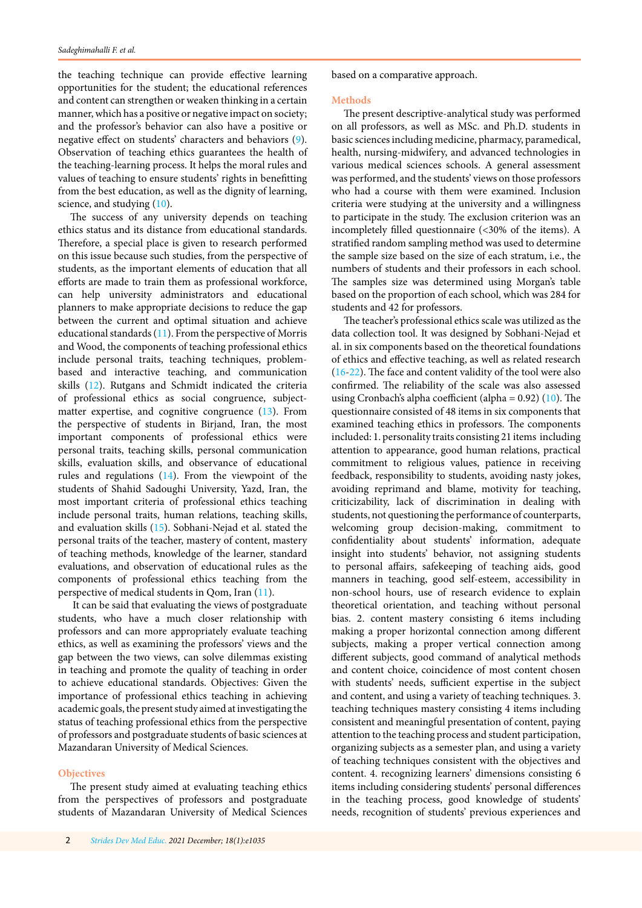the teaching technique can provide effective learning opportunities for the student; the educational references and content can strengthen or weaken thinking in a certain manner, which has a positive or negative impact on society; and the professor's behavior can also have a positive or negative effect on students' characters and behaviors [\(9](#page-5-0)). Observation of teaching ethics guarantees the health of the teaching-learning process. It helps the moral rules and values of teaching to ensure students' rights in benefitting from the best education, as well as the dignity of learning, science, and studying ([10](#page-5-0)).

The success of any university depends on teaching ethics status and its distance from educational standards. Therefore, a special place is given to research performed on this issue because such studies, from the perspective of students, as the important elements of education that all efforts are made to train them as professional workforce, can help university administrators and educational planners to make appropriate decisions to reduce the gap between the current and optimal situation and achieve educational standards ([11](#page-5-0)). From the perspective of Morris and Wood, the components of teaching professional ethics include personal traits, teaching techniques, problembased and interactive teaching, and communication skills [\(12\)](#page-5-0). Rutgans and Schmidt indicated the criteria of professional ethics as social congruence, subjectmatter expertise, and cognitive congruence [\(13\)](#page-5-0). From the perspective of students in Birjand, Iran, the most important components of professional ethics were personal traits, teaching skills, personal communication skills, evaluation skills, and observance of educational rules and regulations ([14](#page-5-0)). From the viewpoint of the students of Shahid Sadoughi University, Yazd, Iran, the most important criteria of professional ethics teaching include personal traits, human relations, teaching skills, and evaluation skills ([15](#page-5-0)). Sobhani-Nejad et al. stated the personal traits of the teacher, mastery of content, mastery of teaching methods, knowledge of the learner, standard evaluations, and observation of educational rules as the components of professional ethics teaching from the perspective of medical students in Qom, Iran [\(11\)](#page-5-0).

 It can be said that evaluating the views of postgraduate students, who have a much closer relationship with professors and can more appropriately evaluate teaching ethics, as well as examining the professors' views and the gap between the two views, can solve dilemmas existing in teaching and promote the quality of teaching in order to achieve educational standards. Objectives: Given the importance of professional ethics teaching in achieving academic goals, the present study aimed at investigating the status of teaching professional ethics from the perspective of professors and postgraduate students of basic sciences at Mazandaran University of Medical Sciences.

## **Objectives**

The present study aimed at evaluating teaching ethics from the perspectives of professors and postgraduate students of Mazandaran University of Medical Sciences based on a comparative approach.

#### **Methods**

The present descriptive-analytical study was performed on all professors, as well as MSc. and Ph.D. students in basic sciences including medicine, pharmacy, paramedical, health, nursing-midwifery, and advanced technologies in various medical sciences schools. A general assessment was performed, and the students' views on those professors who had a course with them were examined. Inclusion criteria were studying at the university and a willingness to participate in the study. The exclusion criterion was an incompletely filled questionnaire (<30% of the items). A stratified random sampling method was used to determine the sample size based on the size of each stratum, i.e., the numbers of students and their professors in each school. The samples size was determined using Morgan's table based on the proportion of each school, which was 284 for students and 42 for professors.

The teacher's professional ethics scale was utilized as the data collection tool. It was designed by Sobhani-Nejad et al. in six components based on the theoretical foundations of ethics and effective teaching, as well as related research [\(16-22\)](#page-5-0). The face and content validity of the tool were also confirmed. The reliability of the scale was also assessed using Cronbach's alpha coefficient (alpha =  $0.92$ ) [\(10\)](#page-5-0). The questionnaire consisted of 48 items in six components that examined teaching ethics in professors. The components included: 1. personality traits consisting 21 items including attention to appearance, good human relations, practical commitment to religious values, patience in receiving feedback, responsibility to students, avoiding nasty jokes, avoiding reprimand and blame, motivity for teaching, criticizability, lack of discrimination in dealing with students, not questioning the performance of counterparts, welcoming group decision-making, commitment to confidentiality about students' information, adequate insight into students' behavior, not assigning students to personal affairs, safekeeping of teaching aids, good manners in teaching, good self-esteem, accessibility in non-school hours, use of research evidence to explain theoretical orientation, and teaching without personal bias. 2. content mastery consisting 6 items including making a proper horizontal connection among different subjects, making a proper vertical connection among different subjects, good command of analytical methods and content choice, coincidence of most content chosen with students' needs, sufficient expertise in the subject and content, and using a variety of teaching techniques. 3. teaching techniques mastery consisting 4 items including consistent and meaningful presentation of content, paying attention to the teaching process and student participation, organizing subjects as a semester plan, and using a variety of teaching techniques consistent with the objectives and content. 4. recognizing learners' dimensions consisting 6 items including considering students' personal differences in the teaching process, good knowledge of students' needs, recognition of students' previous experiences and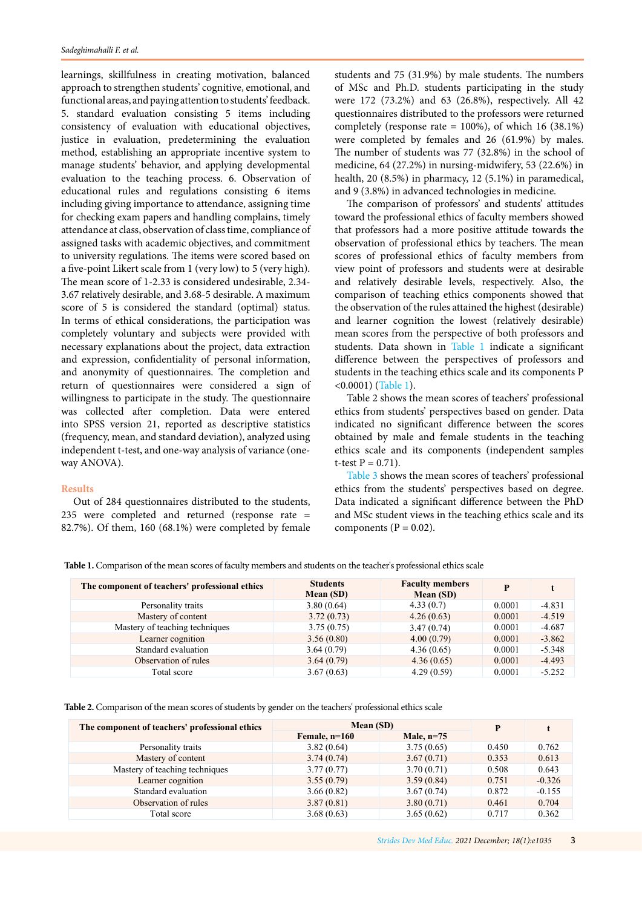learnings, skillfulness in creating motivation, balanced approach to strengthen students' cognitive, emotional, and functional areas, and paying attention to students' feedback. 5. standard evaluation consisting 5 items including consistency of evaluation with educational objectives, justice in evaluation, predetermining the evaluation method, establishing an appropriate incentive system to manage students' behavior, and applying developmental evaluation to the teaching process. 6. Observation of educational rules and regulations consisting 6 items including giving importance to attendance, assigning time for checking exam papers and handling complains, timely attendance at class, observation of class time, compliance of assigned tasks with academic objectives, and commitment to university regulations. The items were scored based on a five-point Likert scale from 1 (very low) to 5 (very high). The mean score of 1-2.33 is considered undesirable, 2.34- 3.67 relatively desirable, and 3.68-5 desirable. A maximum score of 5 is considered the standard (optimal) status. In terms of ethical considerations, the participation was completely voluntary and subjects were provided with necessary explanations about the project, data extraction and expression, confidentiality of personal information, and anonymity of questionnaires. The completion and return of questionnaires were considered a sign of willingness to participate in the study. The questionnaire was collected after completion. Data were entered into SPSS version 21, reported as descriptive statistics (frequency, mean, and standard deviation), analyzed using independent t-test, and one-way analysis of variance (oneway ANOVA).

# **Results**

Out of 284 questionnaires distributed to the students, 235 were completed and returned (response rate = 82.7%). Of them, 160 (68.1%) were completed by female students and 75 (31.9%) by male students. The numbers of MSc and Ph.D. students participating in the study were 172 (73.2%) and 63 (26.8%), respectively. All 42 questionnaires distributed to the professors were returned completely (response rate = 100%), of which 16 (38.1%) were completed by females and 26 (61.9%) by males. The number of students was 77 (32.8%) in the school of medicine, 64 (27.2%) in nursing-midwifery, 53 (22.6%) in health, 20 (8.5%) in pharmacy, 12 (5.1%) in paramedical, and 9 (3.8%) in advanced technologies in medicine.

The comparison of professors' and students' attitudes toward the professional ethics of faculty members showed that professors had a more positive attitude towards the observation of professional ethics by teachers. The mean scores of professional ethics of faculty members from view point of professors and students were at desirable and relatively desirable levels, respectively. Also, the comparison of teaching ethics components showed that the observation of the rules attained the highest (desirable) and learner cognition the lowest (relatively desirable) mean scores from the perspective of both professors and students. Data shown in Table 1 indicate a significant difference between the perspectives of professors and students in the teaching ethics scale and its components P <0.0001) (Table 1).

Table 2 shows the mean scores of teachers' professional ethics from students' perspectives based on gender. Data indicated no significant difference between the scores obtained by male and female students in the teaching ethics scale and its components (independent samples t-test  $P = 0.71$ ).

Table 3 shows the mean scores of teachers' professional ethics from the students' perspectives based on degree. Data indicated a significant difference between the PhD and MSc student views in the teaching ethics scale and its components ( $P = 0.02$ ).

**Table 1.** Comparison of the mean scores of faculty members and students on the teacher's professional ethics scale

| The component of teachers' professional ethics | <b>Students</b><br>Mean (SD) | <b>Faculty members</b><br>Mean (SD) | D      | t        |
|------------------------------------------------|------------------------------|-------------------------------------|--------|----------|
| Personality traits                             | 3.80(0.64)                   | 4.33(0.7)                           | 0.0001 | $-4.831$ |
| Mastery of content                             | 3.72(0.73)                   | 4.26(0.63)                          | 0.0001 | $-4.519$ |
| Mastery of teaching techniques                 | 3.75(0.75)                   | 3.47(0.74)                          | 0.0001 | $-4.687$ |
| Learner cognition                              | 3.56(0.80)                   | 4.00(0.79)                          | 0.0001 | $-3.862$ |
| Standard evaluation                            | 3.64(0.79)                   | 4.36(0.65)                          | 0.0001 | $-5.348$ |
| Observation of rules                           | 3.64(0.79)                   | 4.36(0.65)                          | 0.0001 | $-4.493$ |
| Total score                                    | 3.67(0.63)                   | 4.29(0.59)                          | 0.0001 | $-5.252$ |

**Table 2.** Comparison of the mean scores of students by gender on the teachers' professional ethics scale

| The component of teachers' professional ethics | Mean (SD)       | P            |       |          |
|------------------------------------------------|-----------------|--------------|-------|----------|
|                                                | Female, $n=160$ | Male, $n=75$ |       |          |
| Personality traits                             | 3.82(0.64)      | 3.75(0.65)   | 0.450 | 0.762    |
| Mastery of content                             | 3.74(0.74)      | 3.67(0.71)   | 0.353 | 0.613    |
| Mastery of teaching techniques                 | 3.77(0.77)      | 3.70(0.71)   | 0.508 | 0.643    |
| Learner cognition                              | 3.55(0.79)      | 3.59(0.84)   | 0.751 | $-0.326$ |
| Standard evaluation                            | 3.66(0.82)      | 3.67(0.74)   | 0.872 | $-0.155$ |
| Observation of rules                           | 3.87(0.81)      | 3.80(0.71)   | 0.461 | 0.704    |
| Total score                                    | 3.68(0.63)      | 3.65(0.62)   | 0.717 | 0.362    |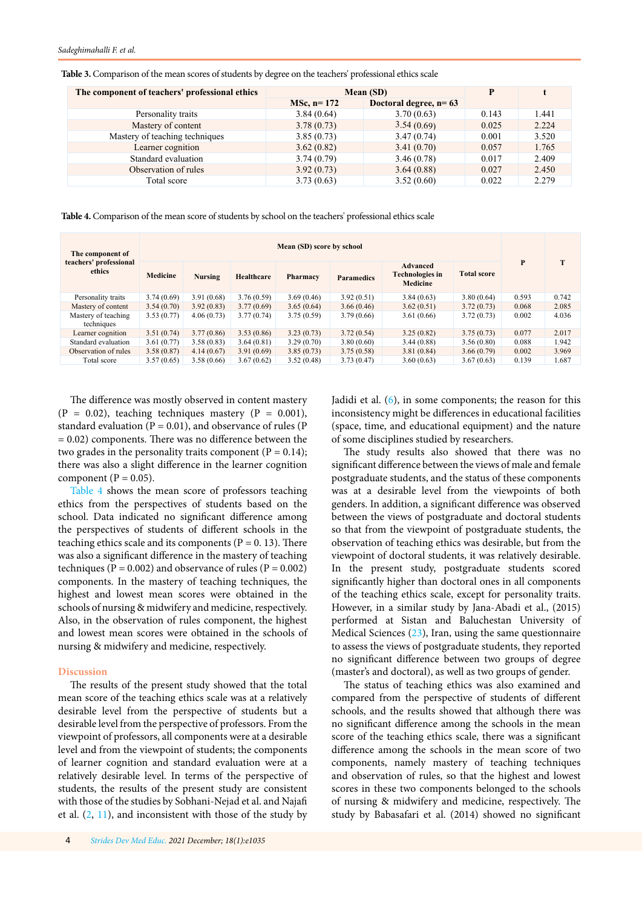| The component of teachers' professional ethics | Mean (SD)      | Þ                       |       |       |
|------------------------------------------------|----------------|-------------------------|-------|-------|
|                                                | $MSc$ , n= 172 | Doctoral degree, $n=63$ |       |       |
| Personality traits                             | 3.84(0.64)     | 3.70(0.63)              | 0.143 | 1.441 |
| Mastery of content                             | 3.78(0.73)     | 3.54(0.69)              | 0.025 | 2.224 |
| Mastery of teaching techniques                 | 3.85(0.73)     | 3.47(0.74)              | 0.001 | 3.520 |
| Learner cognition                              | 3.62(0.82)     | 3.41(0.70)              | 0.057 | 1.765 |
| Standard evaluation                            | 3.74(0.79)     | 3.46(0.78)              | 0.017 | 2.409 |
| Observation of rules                           | 3.92(0.73)     | 3.64(0.88)              | 0.027 | 2.450 |
| Total score                                    | 3.73(0.63)     | 3.52(0.60)              | 0.022 | 2.279 |

**Table 3.** Comparison of the mean scores of students by degree on the teachers' professional ethics scale

**Table 4.** Comparison of the mean score of students by school on the teachers' professional ethics scale

| The component of<br>teachers' professional<br>ethics | Mean (SD) score by school |            |                   |            |                   |                                                       |                    |       |       |
|------------------------------------------------------|---------------------------|------------|-------------------|------------|-------------------|-------------------------------------------------------|--------------------|-------|-------|
|                                                      | <b>Medicine</b>           | Nursing    | <b>Healthcare</b> | Pharmacy   | <b>Paramedics</b> | <b>Advanced</b><br>Technologies in<br><b>Medicine</b> | <b>Total score</b> | P     | т     |
| Personality traits                                   | 3.74(0.69)                | 3.91(0.68) | 3.76(0.59)        | 3.69(0.46) | 3.92(0.51)        | 3.84(0.63)                                            | 3.80(0.64)         | 0.593 | 0.742 |
| Mastery of content                                   | 3.54(0.70)                | 3.92(0.83) | 3.77(0.69)        | 3.65(0.64) | 3.66(0.46)        | 3.62(0.51)                                            | 3.72(0.73)         | 0.068 | 2.085 |
| Mastery of teaching<br>techniques                    | 3.53(0.77)                | 4.06(0.73) | 3.77(0.74)        | 3.75(0.59) | 3.79(0.66)        | 3.61(0.66)                                            | 3.72(0.73)         | 0.002 | 4.036 |
| Learner cognition                                    | 3.51(0.74)                | 3.77(0.86) | 3.53(0.86)        | 3.23(0.73) | 3.72(0.54)        | 3.25(0.82)                                            | 3.75(0.73)         | 0.077 | 2.017 |
| Standard evaluation                                  | 3.61(0.77)                | 3.58(0.83) | 3.64(0.81)        | 3.29(0.70) | 3.80(0.60)        | 3.44(0.88)                                            | 3.56(0.80)         | 0.088 | 1.942 |
| Observation of rules                                 | 3.58(0.87)                | 4.14(0.67) | 3.91(0.69)        | 3.85(0.73) | 3.75(0.58)        | 3.81(0.84)                                            | 3.66(0.79)         | 0.002 | 3.969 |
| Total score                                          | 3.57(0.65)                | 3.58(0.66) | 3.67(0.62)        | 3.52(0.48) | 3.73(0.47)        | 3.60(0.63)                                            | 3.67(0.63)         | 0.139 | 1.687 |

The difference was mostly observed in content mastery  $(P = 0.02)$ , teaching techniques mastery  $(P = 0.001)$ , standard evaluation  $(P = 0.01)$ , and observance of rules  $(P)$  $= 0.02$ ) components. There was no difference between the two grades in the personality traits component ( $P = 0.14$ ); there was also a slight difference in the learner cognition component ( $P = 0.05$ ).

Table 4 shows the mean score of professors teaching ethics from the perspectives of students based on the school. Data indicated no significant difference among the perspectives of students of different schools in the teaching ethics scale and its components ( $P = 0.13$ ). There was also a significant difference in the mastery of teaching techniques ( $P = 0.002$ ) and observance of rules ( $P = 0.002$ ) components. In the mastery of teaching techniques, the highest and lowest mean scores were obtained in the schools of nursing & midwifery and medicine, respectively. Also, in the observation of rules component, the highest and lowest mean scores were obtained in the schools of nursing & midwifery and medicine, respectively.

# **Discussion**

The results of the present study showed that the total mean score of the teaching ethics scale was at a relatively desirable level from the perspective of students but a desirable level from the perspective of professors. From the viewpoint of professors, all components were at a desirable level and from the viewpoint of students; the components of learner cognition and standard evaluation were at a relatively desirable level. In terms of the perspective of students, the results of the present study are consistent with those of the studies by Sobhani-Nejad et al. and Najafi et al.  $(2, 11)$  $(2, 11)$  $(2, 11)$ , and inconsistent with those of the study by

Jadidi et al. [\(6\)](#page-5-0), in some components; the reason for this inconsistency might be differences in educational facilities (space, time, and educational equipment) and the nature of some disciplines studied by researchers.

The study results also showed that there was no significant difference between the views of male and female postgraduate students, and the status of these components was at a desirable level from the viewpoints of both genders. In addition, a significant difference was observed between the views of postgraduate and doctoral students so that from the viewpoint of postgraduate students, the observation of teaching ethics was desirable, but from the viewpoint of doctoral students, it was relatively desirable. In the present study, postgraduate students scored significantly higher than doctoral ones in all components of the teaching ethics scale, except for personality traits. However, in a similar study by Jana-Abadi et al., (2015) performed at Sistan and Baluchestan University of Medical Sciences ([23\)](#page-5-0), Iran, using the same questionnaire to assess the views of postgraduate students, they reported no significant difference between two groups of degree (master's and doctoral), as well as two groups of gender.

The status of teaching ethics was also examined and compared from the perspective of students of different schools, and the results showed that although there was no significant difference among the schools in the mean score of the teaching ethics scale, there was a significant difference among the schools in the mean score of two components, namely mastery of teaching techniques and observation of rules, so that the highest and lowest scores in these two components belonged to the schools of nursing & midwifery and medicine, respectively. The study by Babasafari et al. (2014) showed no significant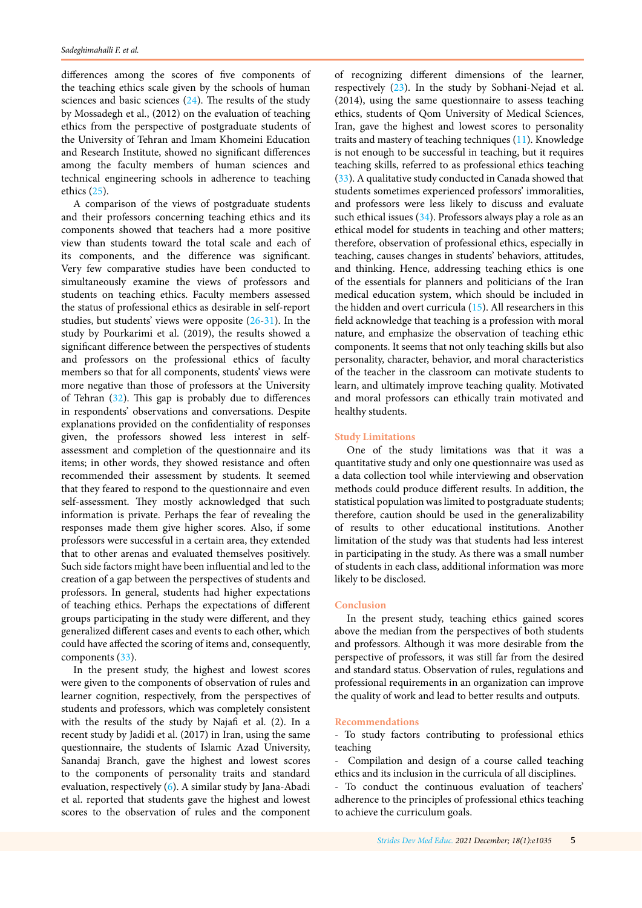differences among the scores of five components of the teaching ethics scale given by the schools of human sciences and basic sciences [\(24\)](#page-5-0). The results of the study by Mossadegh et al., (2012) on the evaluation of teaching ethics from the perspective of postgraduate students of the University of Tehran and Imam Khomeini Education and Research Institute, showed no significant differences among the faculty members of human sciences and technical engineering schools in adherence to teaching ethics ([25](#page-5-0)).

A comparison of the views of postgraduate students and their professors concerning teaching ethics and its components showed that teachers had a more positive view than students toward the total scale and each of its components, and the difference was significant. Very few comparative studies have been conducted to simultaneously examine the views of professors and students on teaching ethics. Faculty members assessed the status of professional ethics as desirable in self-report studies, but students' views were opposite ([26](#page-5-0)-[31\)](#page-5-0). In the study by Pourkarimi et al. (2019), the results showed a significant difference between the perspectives of students and professors on the professional ethics of faculty members so that for all components, students' views were more negative than those of professors at the University of Tehran ([32](#page-5-0)). This gap is probably due to differences in respondents' observations and conversations. Despite explanations provided on the confidentiality of responses given, the professors showed less interest in selfassessment and completion of the questionnaire and its items; in other words, they showed resistance and often recommended their assessment by students. It seemed that they feared to respond to the questionnaire and even self-assessment. They mostly acknowledged that such information is private. Perhaps the fear of revealing the responses made them give higher scores. Also, if some professors were successful in a certain area, they extended that to other arenas and evaluated themselves positively. Such side factors might have been influential and led to the creation of a gap between the perspectives of students and professors. In general, students had higher expectations of teaching ethics. Perhaps the expectations of different groups participating in the study were different, and they generalized different cases and events to each other, which could have affected the scoring of items and, consequently, components ([33](#page-5-0)).

In the present study, the highest and lowest scores were given to the components of observation of rules and learner cognition, respectively, from the perspectives of students and professors, which was completely consistent with the results of the study by Najafi et al. (2). In a recent study by Jadidi et al. (2017) in Iran, using the same questionnaire, the students of Islamic Azad University, Sanandaj Branch, gave the highest and lowest scores to the components of personality traits and standard evaluation, respectively [\(6](#page-5-0)). A similar study by Jana-Abadi et al. reported that students gave the highest and lowest scores to the observation of rules and the component

of recognizing different dimensions of the learner, respectively [\(23\)](#page-5-0). In the study by Sobhani-Nejad et al. (2014), using the same questionnaire to assess teaching ethics, students of Qom University of Medical Sciences, Iran, gave the highest and lowest scores to personality traits and mastery of teaching techniques [\(11\)](#page-5-0). Knowledge is not enough to be successful in teaching, but it requires teaching skills, referred to as professional ethics teaching ([33](#page-5-0)). A qualitative study conducted in Canada showed that students sometimes experienced professors' immoralities, and professors were less likely to discuss and evaluate such ethical issues  $(34)$  $(34)$  $(34)$ . Professors always play a role as an ethical model for students in teaching and other matters; therefore, observation of professional ethics, especially in teaching, causes changes in students' behaviors, attitudes, and thinking. Hence, addressing teaching ethics is one of the essentials for planners and politicians of the Iran medical education system, which should be included in the hidden and overt curricula ([15](#page-5-0)). All researchers in this field acknowledge that teaching is a profession with moral nature, and emphasize the observation of teaching ethic components. It seems that not only teaching skills but also personality, character, behavior, and moral characteristics of the teacher in the classroom can motivate students to learn, and ultimately improve teaching quality. Motivated and moral professors can ethically train motivated and healthy students.

## **Study Limitations**

One of the study limitations was that it was a quantitative study and only one questionnaire was used as a data collection tool while interviewing and observation methods could produce different results. In addition, the statistical population was limited to postgraduate students; therefore, caution should be used in the generalizability of results to other educational institutions. Another limitation of the study was that students had less interest in participating in the study. As there was a small number of students in each class, additional information was more likely to be disclosed.

# **Conclusion**

In the present study, teaching ethics gained scores above the median from the perspectives of both students and professors. Although it was more desirable from the perspective of professors, it was still far from the desired and standard status. Observation of rules, regulations and professional requirements in an organization can improve the quality of work and lead to better results and outputs.

#### **Recommendations**

- To study factors contributing to professional ethics teaching

Compilation and design of a course called teaching ethics and its inclusion in the curricula of all disciplines.

- To conduct the continuous evaluation of teachers' adherence to the principles of professional ethics teaching to achieve the curriculum goals.